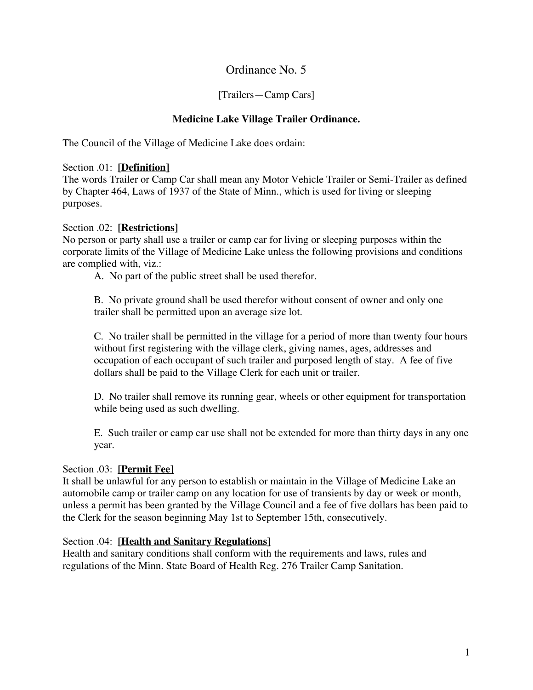# Ordinance No. 5

## [Trailers—Camp Cars]

# **Medicine Lake Village Trailer Ordinance.**

The Council of the Village of Medicine Lake does ordain:

## Section .01: **[Definition]**

The words Trailer or Camp Car shall mean any Motor Vehicle Trailer or Semi-Trailer as defined by Chapter 464, Laws of 1937 of the State of Minn., which is used for living or sleeping purposes.

## Section .02: **[Restrictions]**

No person or party shall use a trailer or camp car for living or sleeping purposes within the corporate limits of the Village of Medicine Lake unless the following provisions and conditions are complied with, viz.:

A. No part of the public street shall be used therefor.

B. No private ground shall be used therefor without consent of owner and only one trailer shall be permitted upon an average size lot.

C. No trailer shall be permitted in the village for a period of more than twenty four hours without first registering with the village clerk, giving names, ages, addresses and occupation of each occupant of such trailer and purposed length of stay. A fee of five dollars shall be paid to the Village Clerk for each unit or trailer.

D. No trailer shall remove its running gear, wheels or other equipment for transportation while being used as such dwelling.

E. Such trailer or camp car use shall not be extended for more than thirty days in any one year.

# Section .03: **[Permit Fee]**

It shall be unlawful for any person to establish or maintain in the Village of Medicine Lake an automobile camp or trailer camp on any location for use of transients by day or week or month, unless a permit has been granted by the Village Council and a fee of five dollars has been paid to the Clerk for the season beginning May 1st to September 15th, consecutively.

#### Section .04: **[Health and Sanitary Regulations]**

Health and sanitary conditions shall conform with the requirements and laws, rules and regulations of the Minn. State Board of Health Reg. 276 Trailer Camp Sanitation.